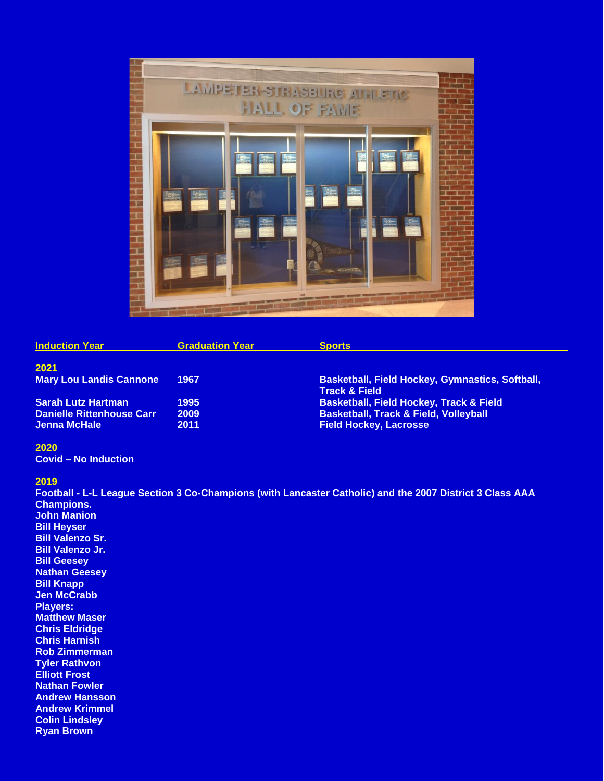

| <b>Induction Year</b>            | <b>Graduation Year</b> | <b>Sports</b>                                                                      |
|----------------------------------|------------------------|------------------------------------------------------------------------------------|
| 2021                             |                        |                                                                                    |
| <b>Mary Lou Landis Cannone</b>   | 1967                   | <b>Basketball, Field Hockey, Gymnastics, Softball,</b><br><b>Track &amp; Field</b> |
| <b>Sarah Lutz Hartman</b>        | 1995                   | <b>Basketball, Field Hockey, Track &amp; Field</b>                                 |
| <b>Danielle Rittenhouse Carr</b> | 2009                   | <b>Basketball, Track &amp; Field, Volleyball</b>                                   |
| Jenna McHale                     | 2011                   | <b>Field Hockey, Lacrosse</b>                                                      |

## **2020**

**Covid – No Induction**

#### **2019**

**Football - L-L League Section 3 Co-Champions (with Lancaster Catholic) and the 2007 District 3 Class AAA Champions. John Manion Bill Heyser Bill Valenzo Sr. Bill Valenzo Jr. Bill Geesey Nathan Geesey Bill Knapp Jen McCrabb Players: Matthew Maser Chris Eldridge Chris Harnish Rob Zimmerman Tyler Rathvon Elliott Frost Nathan Fowler Andrew Hansson Andrew Krimmel Colin Lindsley Ryan Brown**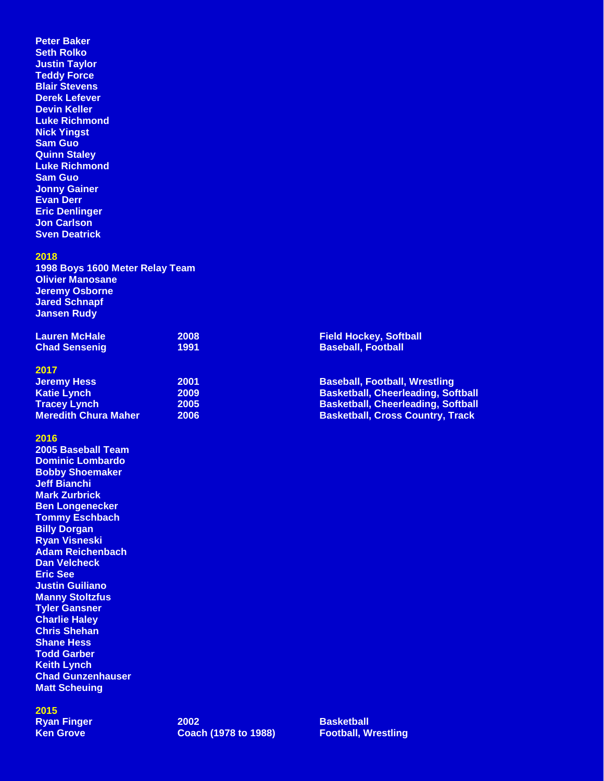**Peter Baker Seth Rolko Justin Taylor Teddy Force Blair Stevens Derek Lefever Devin Keller Luke Richmond Nick Yingst Sam Guo Quinn Staley Luke Richmond Sam Guo Jonny Gainer Evan Derr Eric Denlinger Jon Carlson Sven Deatrick**

### **2018**

**1998 Boys 1600 Meter Relay Team Olivier Manosane Jeremy Osborne Jared Schnapf Jansen Rudy**

| Lauren McHale        | 2008             |
|----------------------|------------------|
| <b>Chad Sensenig</b> | 199 <sup>o</sup> |

#### **2017**

| <b>Jeremy Hess</b>          | 2001 |
|-----------------------------|------|
| <b>Katie Lynch</b>          | 2009 |
| <b>Tracey Lynch</b>         | 2005 |
| <b>Meredith Chura Maher</b> | 2006 |

## **2016**

**2005 Baseball Team Dominic Lombardo Bobby Shoemaker Jeff Bianchi Mark Zurbrick Ben Longenecker Tommy Eschbach Billy Dorgan Ryan Visneski Adam Reichenbach Dan Velcheck Eric See Justin Guiliano Manny Stoltzfus Tyler Gansner Charlie Haley Chris Shehan Shane Hess Todd Garber Keith Lynch Chad Gunzenhauser Matt Scheuing**

## **2015**

**Field Hockey, Softball Baseball, Football** 

**Baseball, Football, Wrestling Basketball, Cheerleading, Softball Basketball, Cheerleading, Softball Basketball, Cross Country, Track**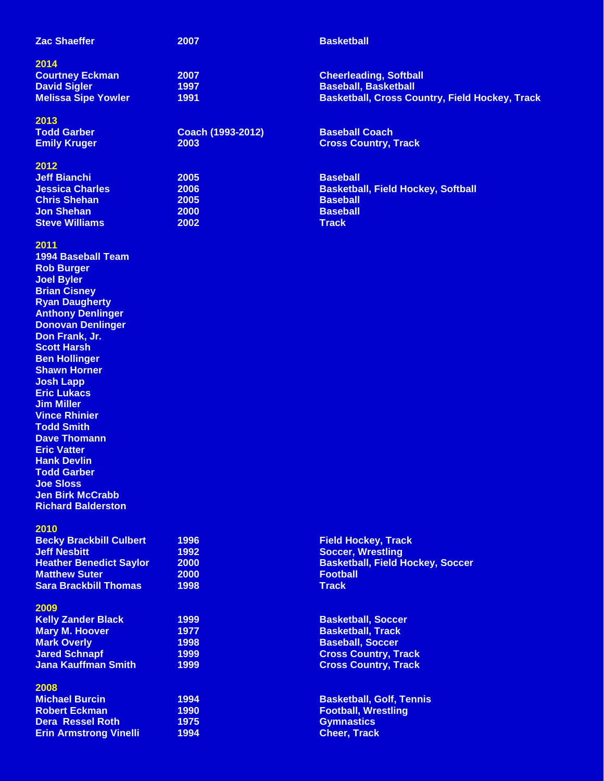| <b>Zac Shaeffer</b>        | 2007                     | <b>Basketball</b>                                     |
|----------------------------|--------------------------|-------------------------------------------------------|
| 2014                       |                          |                                                       |
| <b>Courtney Eckman</b>     | 2007                     | <b>Cheerleading, Softball</b>                         |
| <b>David Sigler</b>        | 1997                     | <b>Baseball, Basketball</b>                           |
| <b>Melissa Sipe Yowler</b> | 1991                     | <b>Basketball, Cross Country, Field Hockey, Track</b> |
| 2013                       |                          |                                                       |
| <b>Todd Garber</b>         | <b>Coach (1993-2012)</b> | <b>Baseball Coach</b>                                 |
| <b>Emily Kruger</b>        | 2003                     | <b>Cross Country, Track</b>                           |
| 2012                       |                          |                                                       |
| <b>Jeff Bianchi</b>        | 2005                     | <b>Baseball</b>                                       |
| <b>Jessica Charles</b>     | 2006                     | <b>Basketball, Field Hockey, Softball</b>             |
| <b>Chris Shehan</b>        | <b>2005</b>              | <b>Baseball</b>                                       |
| <b>Jon Shehan</b>          | <b>2000</b>              | <b>Baseball</b>                                       |
| <b>Steve Williams</b>      | 2002                     | <b>Track</b>                                          |
|                            |                          |                                                       |

# **2011**

**1994 Baseball Team Rob Burger Joel Byler Brian Cisney Ryan Daugherty Anthony Denlinger Donovan Denlinger Don Frank, Jr. Scott Harsh Ben Hollinger Shawn Horner Josh Lapp Eric Lukacs Jim Miller Vince Rhinier Todd Smith Dave Thomann Eric Vatter Hank Devlin Todd Garber Joe Sloss Jen Birk McCrabb Richard Balderston**

### **2010**

| <b>Becky Brackbill Culbert</b> | 1996        | <b>Field</b> |
|--------------------------------|-------------|--------------|
| <b>Jeff Nesbitt</b>            | 1992        | <b>Socce</b> |
| <b>Heather Benedict Savlor</b> | 2000        | <b>Baske</b> |
| <b>Matthew Suter</b>           | <b>2000</b> | Footb        |
| <b>Sara Brackbill Thomas</b>   | 1998        | Track        |

### **2009**

| <b>Kelly Zander Black</b>  | 1 |
|----------------------------|---|
| <b>Mary M. Hoover</b>      | 1 |
| <b>Mark Overly</b>         | 1 |
| <b>Jared Schnapf</b>       | 1 |
| <b>Jana Kauffman Smith</b> |   |

## **2008**

| <b>Michael Burcin</b>         |   |
|-------------------------------|---|
| <b>Robert Eckman</b>          | 1 |
| <b>Dera Ressel Roth</b>       | 1 |
| <b>Erin Armstrong Vinelli</b> | 1 |

**Becky Brackbill Culbert 1996 Field Hockey, Track Soccer, Wrestling Heather Benedict School Saylor Basketball, Field Hockey, Soccer Matthew Suter 2000 Football**

**Kelly Zander Black 1999 Basketball, Soccer Basketball, Track Mark Overly 1998 Baseball, Soccer Jared Schnapf 1999 Cross Country, Track Jana Kauffman Smith 1999 Cross Country, Track**

**Michael Burcin 1994 Basketball, Golf, Tennis Robert Eckman 1990 Football, Wrestling Dera Ressel Roth 1975 Gymnastics Erin Armstrong Vinelli 1994 Cheer, Track**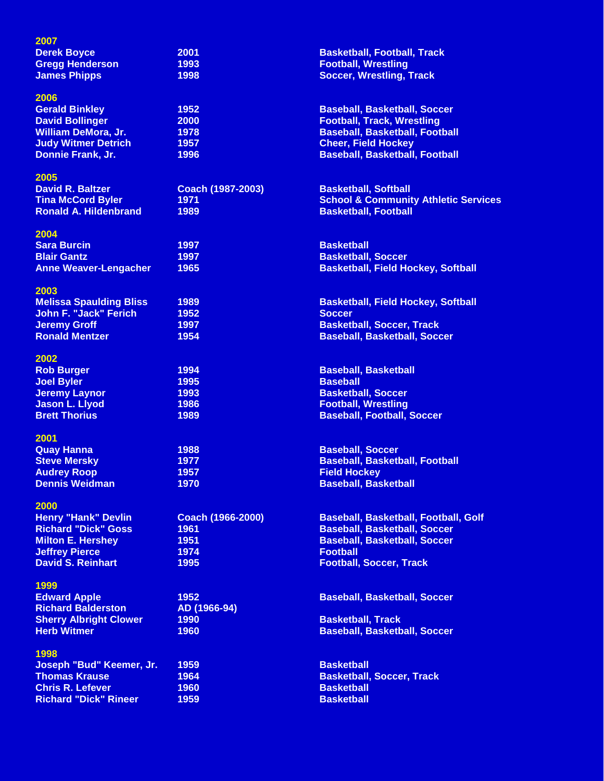| 2007                           |                          |                                                 |
|--------------------------------|--------------------------|-------------------------------------------------|
| <b>Derek Boyce</b>             | 2001                     | <b>Basketball, Football, Track</b>              |
| <b>Gregg Henderson</b>         | 1993                     | <b>Football, Wrestling</b>                      |
| <b>James Phipps</b>            | 1998                     | <b>Soccer, Wrestling, Track</b>                 |
| 2006                           |                          |                                                 |
| <b>Gerald Binkley</b>          | 1952                     | <b>Baseball, Basketball, Soccer</b>             |
| <b>David Bollinger</b>         | 2000                     | <b>Football, Track, Wrestling</b>               |
| <b>William DeMora, Jr.</b>     | 1978                     | <b>Baseball, Basketball, Football</b>           |
| <b>Judy Witmer Detrich</b>     | 1957                     | <b>Cheer, Field Hockey</b>                      |
| Donnie Frank, Jr.              | 1996                     | <b>Baseball, Basketball, Football</b>           |
| 2005                           |                          |                                                 |
| <b>David R. Baltzer</b>        | Coach (1987-2003)        | <b>Basketball, Softball</b>                     |
| <b>Tina McCord Byler</b>       | 1971                     | <b>School &amp; Community Athletic Services</b> |
| <b>Ronald A. Hildenbrand</b>   | 1989                     | <b>Basketball, Football</b>                     |
| 2004                           |                          |                                                 |
| <b>Sara Burcin</b>             | 1997                     | <b>Basketball</b>                               |
| <b>Blair Gantz</b>             | 1997                     | <b>Basketball, Soccer</b>                       |
| <b>Anne Weaver-Lengacher</b>   | 1965                     | <b>Basketball, Field Hockey, Softball</b>       |
| 2003                           |                          |                                                 |
| <b>Melissa Spaulding Bliss</b> | 1989                     | <b>Basketball, Field Hockey, Softball</b>       |
| <b>John F. "Jack" Ferich</b>   | 1952                     | <b>Soccer</b>                                   |
| <b>Jeremy Groff</b>            | 1997                     | <b>Basketball, Soccer, Track</b>                |
| <b>Ronald Mentzer</b>          | 1954                     | <b>Baseball, Basketball, Soccer</b>             |
| 2002                           |                          |                                                 |
| <b>Rob Burger</b>              | 1994                     | <b>Baseball, Basketball</b>                     |
| <b>Joel Byler</b>              | 1995                     | <b>Baseball</b>                                 |
| <b>Jeremy Laynor</b>           | 1993                     | <b>Basketball, Soccer</b>                       |
| <b>Jason L. Llyod</b>          | 1986                     | <b>Football, Wrestling</b>                      |
| <b>Brett Thorius</b>           | 1989                     | <b>Baseball, Football, Soccer</b>               |
| 2001                           |                          |                                                 |
| <b>Quay Hanna</b>              | 1988                     | <b>Baseball, Soccer</b>                         |
| <b>Steve Mersky</b>            | 1977                     | <b>Baseball, Basketball, Football</b>           |
| <b>Audrey Roop</b>             | 1957                     | <b>Field Hockey</b>                             |
| <b>Dennis Weidman</b>          | 1970                     | <b>Baseball, Basketball</b>                     |
| 2000                           |                          |                                                 |
| <b>Henry "Hank" Devlin</b>     | <b>Coach (1966-2000)</b> | <b>Baseball, Basketball, Football, Golf</b>     |
| <b>Richard "Dick" Goss</b>     | 1961                     | <b>Baseball, Basketball, Soccer</b>             |
| <b>Milton E. Hershey</b>       | 1951                     | <b>Baseball, Basketball, Soccer</b>             |
| <b>Jeffrey Pierce</b>          | 1974                     | <b>Football</b>                                 |
| <b>David S. Reinhart</b>       | 1995                     | <b>Football, Soccer, Track</b>                  |
| 1999                           |                          |                                                 |
| <b>Edward Apple</b>            | 1952                     | <b>Baseball, Basketball, Soccer</b>             |
| <b>Richard Balderston</b>      | AD (1966-94)             |                                                 |
| <b>Sherry Albright Clower</b>  | 1990                     | <b>Basketball, Track</b>                        |
| <b>Herb Witmer</b>             | 1960                     | <b>Baseball, Basketball, Soccer</b>             |
| 1998                           |                          |                                                 |
| Joseph "Bud" Keemer, Jr.       | 1959                     | <b>Basketball</b>                               |
| <b>Thomas Krause</b>           | 1964                     | <b>Basketball, Soccer, Track</b>                |
| <b>Chris R. Lefever</b>        | 1960                     | <b>Basketball</b>                               |
| <b>Richard "Dick" Rineer</b>   | 1959                     | <b>Basketball</b>                               |
|                                |                          |                                                 |